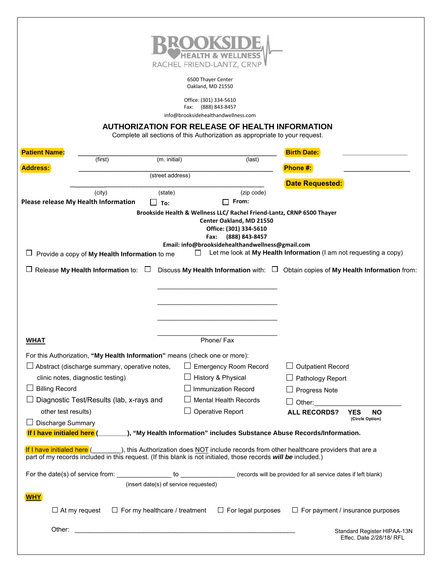

6500 Thayer Center Oakland, MD 21550

Office: (301) 334-5610 Fax: (888) 843-8457

info@brooksidehealthandwellness.com

## **AUTHORIZATION FOR RELEASE OF HEALTH INFORMATION**

Complete all sections of this Authorization as appropriate to your request.

| <b>Patient Name:</b>                            |                                                                                                                |                                       |                                                          |                                                                                                                          | <b>Birth Date:</b>                                                                                                                          |                                                                                            |  |
|-------------------------------------------------|----------------------------------------------------------------------------------------------------------------|---------------------------------------|----------------------------------------------------------|--------------------------------------------------------------------------------------------------------------------------|---------------------------------------------------------------------------------------------------------------------------------------------|--------------------------------------------------------------------------------------------|--|
| <b>Address:</b>                                 | (first)                                                                                                        | (m. initial)                          |                                                          | (last)                                                                                                                   | Phone #:                                                                                                                                    |                                                                                            |  |
| (street address)<br><b>Date Requested:</b>      |                                                                                                                |                                       |                                                          |                                                                                                                          |                                                                                                                                             |                                                                                            |  |
|                                                 | (city)                                                                                                         | (state)                               |                                                          | (zip code)                                                                                                               |                                                                                                                                             |                                                                                            |  |
|                                                 | Please release My Health Information                                                                           | To:                                   |                                                          | From:                                                                                                                    |                                                                                                                                             |                                                                                            |  |
|                                                 | Provide a copy of My Health Information to me                                                                  |                                       | Fax:<br>$\overline{\phantom{0}}$                         | Center Oakland, MD 21550<br>Office: (301) 334-5610<br>(888) 843-8457<br>Email: info@brooksidehealthandwellness@gmail.com | Brookside Health & Wellness LLC/ Rachel Friend-Lantz, CRNP 6500 Thayer<br>Let me look at My Health Information (I am not requesting a copy) |                                                                                            |  |
|                                                 | Release My Health Information to: $\square$                                                                    |                                       |                                                          |                                                                                                                          |                                                                                                                                             | Discuss My Health Information with: $\square$ Obtain copies of My Health Information from: |  |
|                                                 |                                                                                                                |                                       |                                                          |                                                                                                                          |                                                                                                                                             |                                                                                            |  |
|                                                 |                                                                                                                |                                       |                                                          |                                                                                                                          |                                                                                                                                             |                                                                                            |  |
| <b>WHAT</b>                                     |                                                                                                                |                                       |                                                          | Phone/ Fax                                                                                                               |                                                                                                                                             |                                                                                            |  |
|                                                 | For this Authorization, "My Health Information" means (check one or more):                                     |                                       |                                                          |                                                                                                                          |                                                                                                                                             |                                                                                            |  |
| Abstract (discharge summary, operative notes,   |                                                                                                                |                                       | <b>Emergency Room Record</b><br>$\Box$ Outpatient Record |                                                                                                                          |                                                                                                                                             |                                                                                            |  |
| clinic notes, diagnostic testing)               |                                                                                                                |                                       |                                                          | History & Physical<br>Pathology Report                                                                                   |                                                                                                                                             |                                                                                            |  |
| <b>Billing Record</b>                           |                                                                                                                |                                       | <b>Immunization Record</b>                               |                                                                                                                          | $\Box$ Progress Note                                                                                                                        |                                                                                            |  |
| Diagnostic Test/Results (lab, x-rays and        |                                                                                                                |                                       |                                                          | <b>Mental Health Records</b>                                                                                             | $\Box$ Other:                                                                                                                               |                                                                                            |  |
| other test results)                             |                                                                                                                |                                       |                                                          | Operative Report                                                                                                         | <b>ALL RECORDS?</b>                                                                                                                         | YES<br><b>NO</b><br>(Circle Option)                                                        |  |
| Discharge Summary<br>If I have initialed here ( |                                                                                                                |                                       |                                                          |                                                                                                                          | _), "My Health Information" includes Substance Abuse Records/Information.                                                                   |                                                                                            |  |
| If I have initialed here (                      | part of my records included in this request. (If this blank is not initialed, those records will be included.) |                                       |                                                          |                                                                                                                          | $\Box$ ), this Authorization does NOT include records from other healthcare providers that are a                                            |                                                                                            |  |
|                                                 | For the date(s) of service from:                                                                               | to                                    |                                                          |                                                                                                                          | (records will be provided for all service dates if left blank)                                                                              |                                                                                            |  |
|                                                 |                                                                                                                | (insert date(s) of service requested) |                                                          |                                                                                                                          |                                                                                                                                             |                                                                                            |  |
| <u>WHY</u>                                      |                                                                                                                |                                       |                                                          |                                                                                                                          |                                                                                                                                             |                                                                                            |  |
|                                                 | $\Box$ At my request                                                                                           | $\Box$ For my healthcare / treatment  |                                                          | $\Box$ For legal purposes                                                                                                |                                                                                                                                             | $\Box$ For payment / insurance purposes                                                    |  |
| Other:                                          |                                                                                                                |                                       |                                                          |                                                                                                                          |                                                                                                                                             | Standard Register HIPAA-13N<br>Effec. Date 2/28/18/ RFL                                    |  |